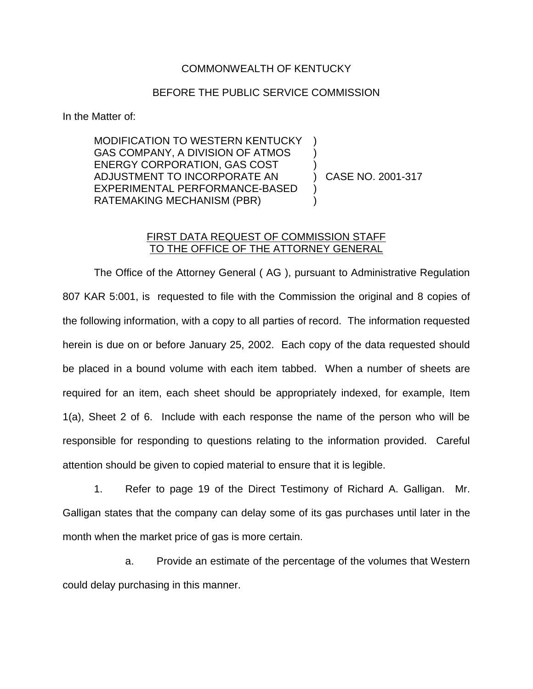## COMMONWEALTH OF KENTUCKY

## BEFORE THE PUBLIC SERVICE COMMISSION

In the Matter of:

MODIFICATION TO WESTERN KENTUCKY ) GAS COMPANY, A DIVISION OF ATMOS ENERGY CORPORATION, GAS COST ) ADJUSTMENT TO INCORPORATE AN ) CASE NO. 2001-317 EXPERIMENTAL PERFORMANCE-BASED ) RATEMAKING MECHANISM (PBR) )

## FIRST DATA REQUEST OF COMMISSION STAFF TO THE OFFICE OF THE ATTORNEY GENERAL

The Office of the Attorney General ( AG ), pursuant to Administrative Regulation 807 KAR 5:001, is requested to file with the Commission the original and 8 copies of the following information, with a copy to all parties of record. The information requested herein is due on or before January 25, 2002. Each copy of the data requested should be placed in a bound volume with each item tabbed. When a number of sheets are required for an item, each sheet should be appropriately indexed, for example, Item 1(a), Sheet 2 of 6. Include with each response the name of the person who will be responsible for responding to questions relating to the information provided. Careful attention should be given to copied material to ensure that it is legible.

1. Refer to page 19 of the Direct Testimony of Richard A. Galligan. Mr. Galligan states that the company can delay some of its gas purchases until later in the month when the market price of gas is more certain.

a. Provide an estimate of the percentage of the volumes that Western could delay purchasing in this manner.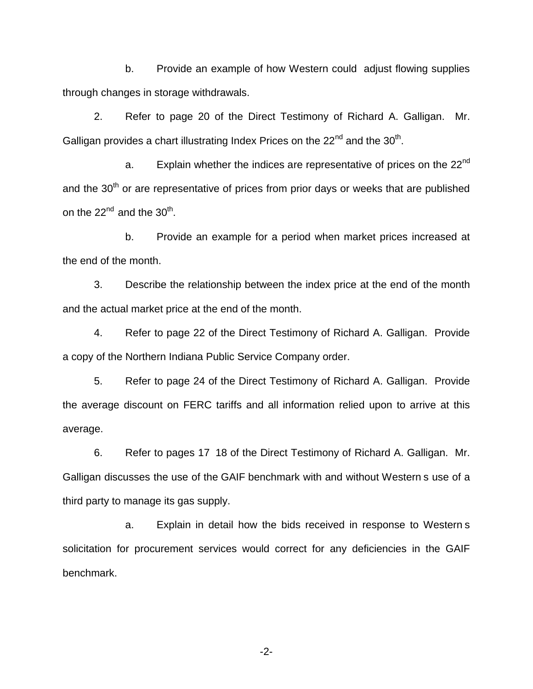b. Provide an example of how Western could adjust flowing supplies through changes in storage withdrawals.

2. Refer to page 20 of the Direct Testimony of Richard A. Galligan. Mr. Galligan provides a chart illustrating Index Prices on the  $22^{nd}$  and the  $30^{th}$ .

a. Explain whether the indices are representative of prices on the  $22^{nd}$ and the 30<sup>th</sup> or are representative of prices from prior days or weeks that are published on the  $22^{nd}$  and the  $30^{th}$ .

b. Provide an example for a period when market prices increased at the end of the month.

3. Describe the relationship between the index price at the end of the month and the actual market price at the end of the month.

4. Refer to page 22 of the Direct Testimony of Richard A. Galligan. Provide a copy of the Northern Indiana Public Service Company order.

5. Refer to page 24 of the Direct Testimony of Richard A. Galligan. Provide the average discount on FERC tariffs and all information relied upon to arrive at this average.

6. Refer to pages 17 18 of the Direct Testimony of Richard A. Galligan. Mr. Galligan discusses the use of the GAIF benchmark with and without Western s use of a third party to manage its gas supply.

a. Explain in detail how the bids received in response to Western s solicitation for procurement services would correct for any deficiencies in the GAIF benchmark.

-2-